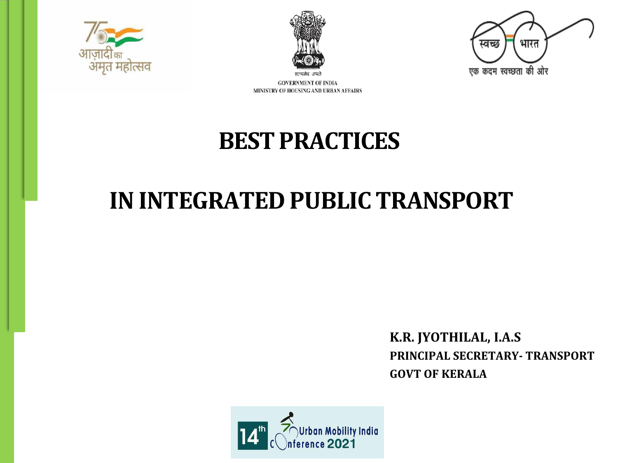

**GOVERNMENT OF INDIA** 







MINISTRY OF HOUSING AND URBAN AFFAIRS

**BEST PRACTICES**

**IN INTEGRATED PUBLIC TRANSPORT**

# **K.R. JYOTHILAL, I.A.S**

**PRINCIPAL SECRETARY- TRANSPORT GOVT OF KERALA**

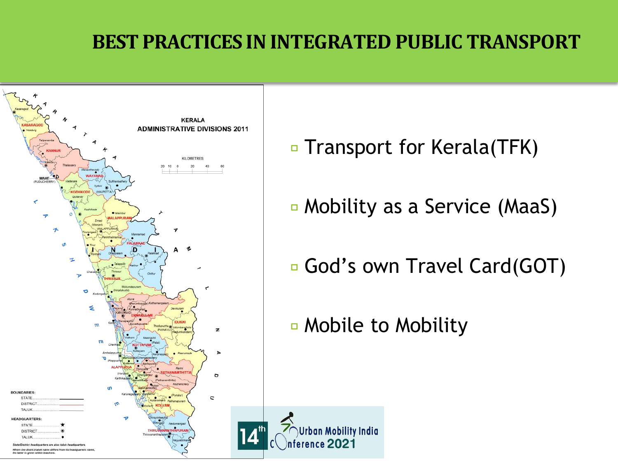### **BEST PRACTICES IN INTEGRATED PUBLIC TRANSPORT**



- Transport for Kerala(TFK)
- Mobility as a Service (MaaS)
- □ God's own Travel Card(GOT)
- Mobile to Mobility

**Mobility India**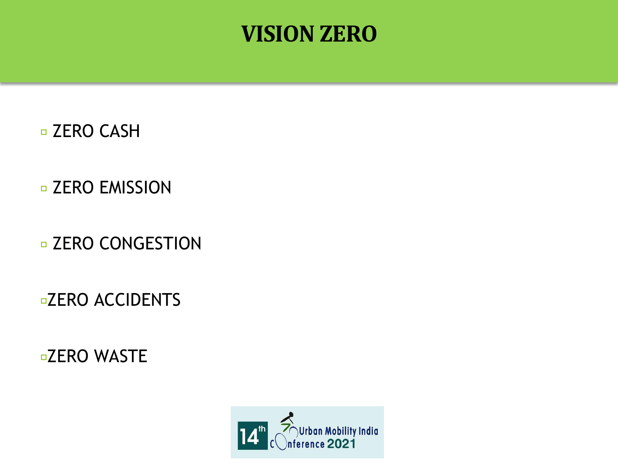

#### **D ZERO CASH**

#### **D ZERO EMISSION**

#### **D ZERO CONGESTION**

#### **¤ZERO ACCIDENTS**

**¤ZERO WASTE** 

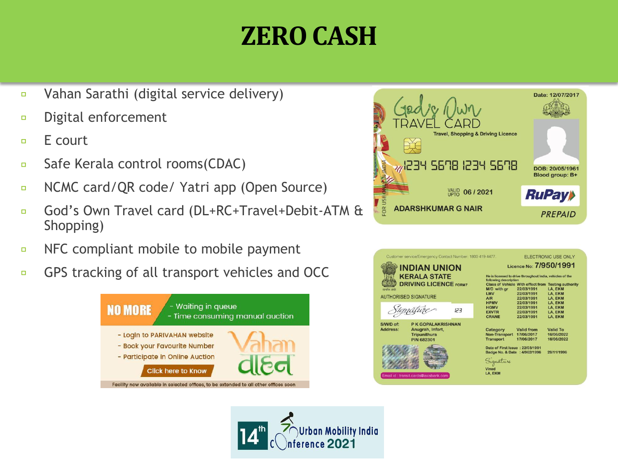# **ZEROCASH**

- Vahan Sarathi (digital service delivery)  $\Box$
- Digital enforcement  $\Box$
- E court  $\Box$
- Safe Kerala control rooms(CDAC)  $\Box$
- NCMC card/QR code/ Yatri app (Open Source)  $\Box$
- God's Own Travel card (DL+RC+Travel+Debit-ATM &  $\Box$ Shopping)
- NFC compliant mobile to mobile payment  $\Box$
- GPS tracking of all transport vehicles and OCC о





|                                                                                                                             | Customer service/Emergency Contact Number: 1800 419 4477.                          |  |                                                                                                                        |                                               | <b>ELECTRONIC USE ONLY</b>                  |
|-----------------------------------------------------------------------------------------------------------------------------|------------------------------------------------------------------------------------|--|------------------------------------------------------------------------------------------------------------------------|-----------------------------------------------|---------------------------------------------|
| <b>INDIAN UNION</b><br><b>KERALA STATE</b><br><b>DRIVING LICENCE FORM7</b><br>मन्यास्य जन्मे<br><b>AUTHORISED SIGNATURE</b> |                                                                                    |  | Licence No: 7/950/1991<br>He is licensed to drive throughout India, vehicles of the<br>following description           |                                               |                                             |
|                                                                                                                             |                                                                                    |  |                                                                                                                        |                                               |                                             |
|                                                                                                                             |                                                                                    |  |                                                                                                                        | ignature                                      | 123                                         |
| S/W/D of:<br><b>Address:</b>                                                                                                | P K GOPALAKRISHNAN<br>Anugrah, Infort,<br><b>Tripunithura</b><br><b>PIN 682301</b> |  | Category<br><b>Non-Transport</b><br><b>Transport</b>                                                                   | <b>Valid from</b><br>17/06/2017<br>17/06/2017 | <b>Valid To</b><br>16/06/2022<br>16/06/2022 |
| Email id: transit.cards@axisbank.com                                                                                        |                                                                                    |  | Date of First Issue: 22/03/1991<br>Badge No. & Date : 4/962/1996<br>28/11/1996<br>Signature<br><b>Vinod</b><br>LA. EKM |                                               |                                             |

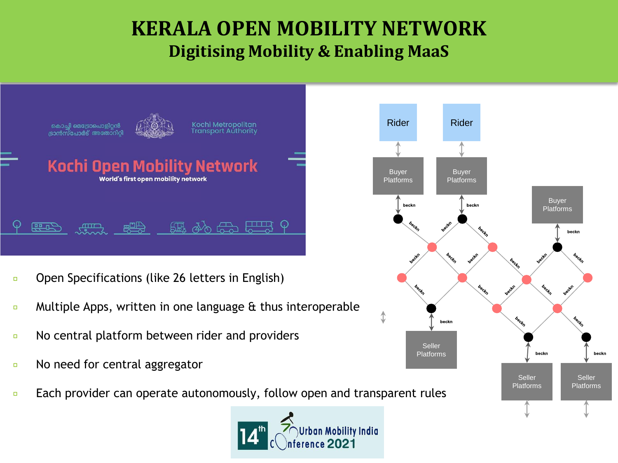#### **KERALA OPEN MOBILITY NETWORK Digitising Mobility & Enabling MaaS**



- Open Specifications (like 26 letters in English)  $\Box$
- Multiple Apps, written in one language & thus interoperable  $\Box$
- No central platform between rider and providers  $\Box$
- No need for central aggregator  $\Box$
- Each provider can operate autonomously, follow open and transparent rules $\Box$



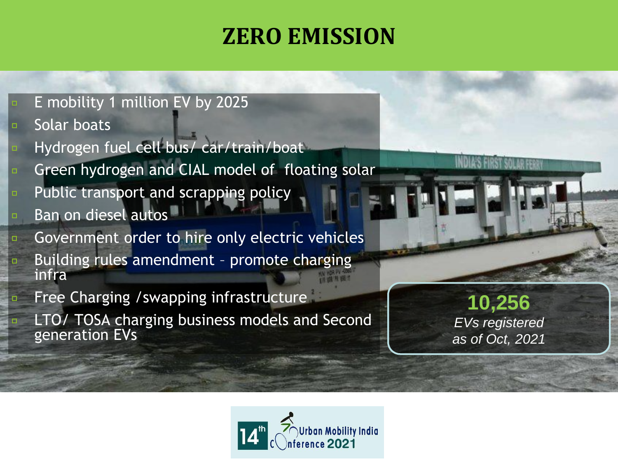### **ZERO EMISSION**

- E mobility 1 million EV by 2025
- Solar boats  $\Box$

 $\Box$ 

- Hydrogen fuel cell bus/ car/train/boat
- Green hydrogen and CIAL model of floating solar
- Public transport and scrapping policy
- Ban on diesel autos
- Government order to hire only electric vehicles Building rules amendment – promote charging infra
- Free Charging /swapping infrastructure LTO/ TOSA charging business models and Second generation EVs

**10,256**  *EVs registered as of Oct, 2021*

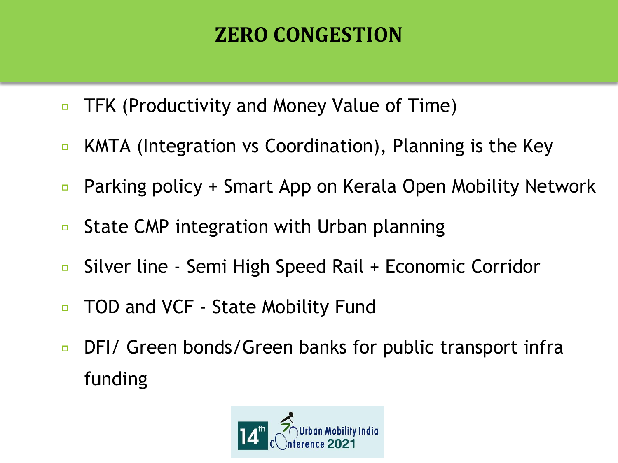### **ZERO CONGESTION**

- TFK (Productivity and Money Value of Time)  $\Box$
- KMTA (Integration vs Coordination), Planning is the Key  $\Box$
- Parking policy + Smart App on Kerala Open Mobility Network  $\Box$
- State CMP integration with Urban planning  $\Box$
- Silver line Semi High Speed Rail + Economic Corridor  $\Box$
- TOD and VCF State Mobility Fund  $\Box$
- DFI/ Green bonds/Green banks for public transport infra  $\Box$ funding

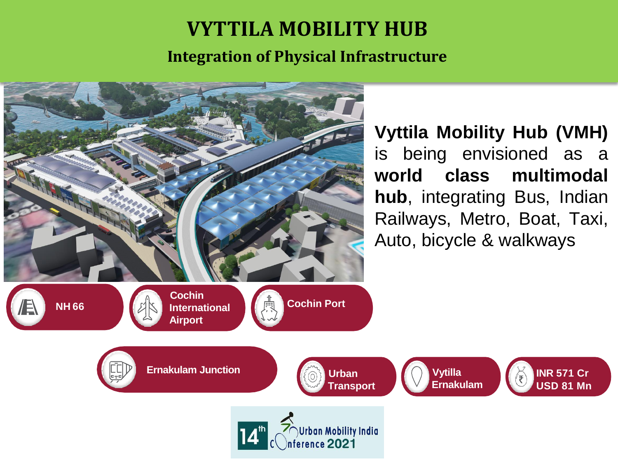## **VYTTILA MOBILITY HUB**

**Integration of Physical Infrastructure**



**Vyttila Mobility Hub (VMH)** is being envisioned as a **world class multimodal hub**, integrating Bus, Indian Railways, Metro, Boat, Taxi, Auto, bicycle & walkways

> **INR 571 Cr USD 81 Mn**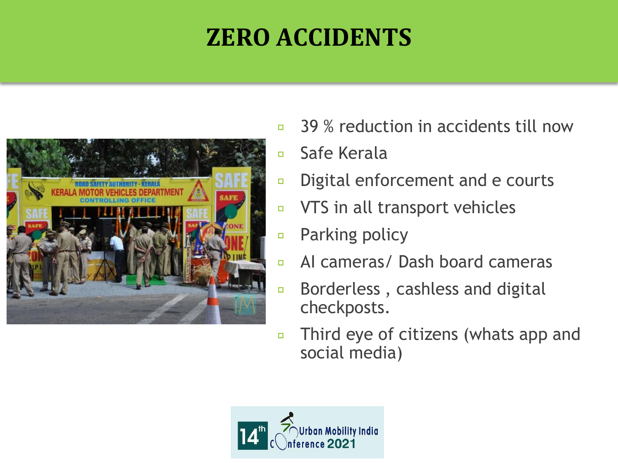# **ZERO ACCIDENTS**



- 39 % reduction in accidents till now  $\Box$
- Safe Kerala  $\Box$
- Digital enforcement and e courts  $\Box$
- VTS in all transport vehicles  $\Box$
- Parking policy  $\Box$
- AI cameras/ Dash board cameras  $\Box$
- Borderless , cashless and digital  $\Box$ checkposts.
- Third eye of citizens (whats app and  $\Box$ social media)

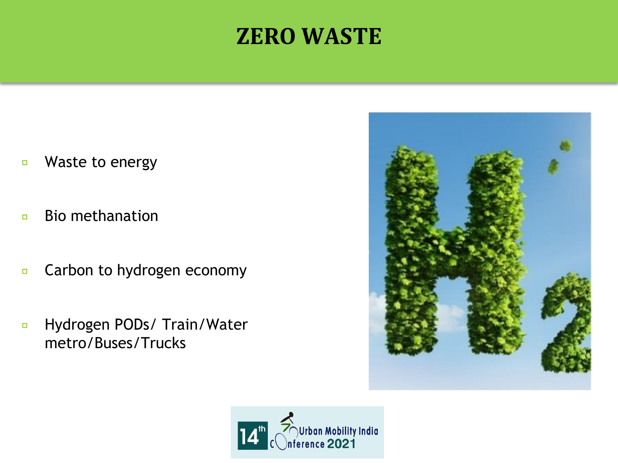### **ZERO WASTE**

- Waste to energy  $\Box$
- Bio methanation  $\Box$
- Carbon to hydrogen economy  $\Box$
- Hydrogen PODs/ Train/Water  $\Box$ metro/Buses/Trucks